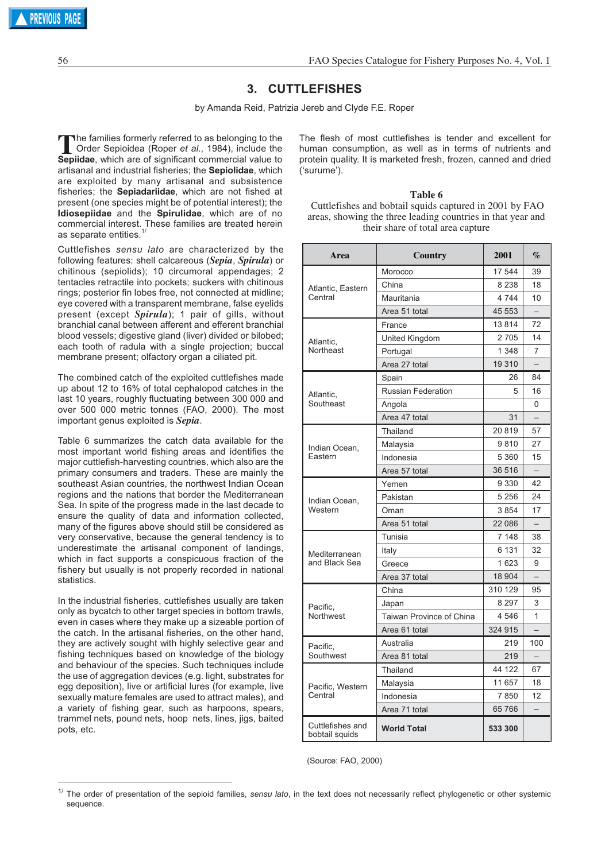# **3. CUTTLEFISHES**

by Amanda Reid, Patrizia Jereb and Clyde F.E. Roper

The families formerly referred to as belonging to the<br>Order Sepioidea (Roper *et al.*, 1984), include the<br>Sepidae, which are of significant commercial value to **Sepiidae**, which are of significant commercial value to artisanal and industrial fisheries; the **Sepiolidae**, which are exploited by many artisanal and subsistence fisheries; the **Sepiadariidae**, which are not fished at present (one species might be of potential interest); the **Idiosepiidae** and the **Spirulidae**, which are of no commercial interest. These families are treated herein as separate entities.<sup>1/</sup>

Cuttlefishes *sensu lato* are characterized by the following features: shell calcareous (*Sepia*, *Spirula*) or chitinous (sepiolids); 10 circumoral appendages; 2 tentacles retractile into pockets; suckers with chitinous rings; posterior fin lobes free, not connected at midline; eye covered with a transparent membrane, false eyelids present (except *Spirula*); 1 pair of gills, without branchial canal between afferent and efferent branchial blood vessels; digestive gland (liver) divided or bilobed; each tooth of radula with a single projection; buccal membrane present; olfactory organ a ciliated pit.

The combined catch of the exploited cuttlefishes made up about 12 to 16% of total cephalopod catches in the last 10 years, roughly fluctuating between 300 000 and over 500 000 metric tonnes (FAO, 2000). The most important genus exploited is *Sepia*.

Table 6 summarizes the catch data available for the most important world fishing areas and identifies the major cuttlefish-harvesting countries, which also are the primary consumers and traders. These are mainly the southeast Asian countries, the northwest Indian Ocean regions and the nations that border the Mediterranean Sea. In spite of the progress made in the last decade to ensure the quality of data and information collected, many of the figures above should still be considered as very conservative, because the general tendency is to underestimate the artisanal component of landings, which in fact supports a conspicuous fraction of the fishery but usually is not properly recorded in national statistics.

In the industrial fisheries, cuttlefishes usually are taken only as bycatch to other target species in bottom trawls, even in cases where they make up a sizeable portion of the catch. In the artisanal fisheries, on the other hand, they are actively sought with highly selective gear and fishing techniques based on knowledge of the biology and behaviour of the species. Such techniques include the use of aggregation devices (e.g. light, substrates for egg deposition), live or artificial lures (for example, live sexually mature females are used to attract males), and a variety of fishing gear, such as harpoons, spears, trammel nets, pound nets, hoop nets, lines, jigs, baited pots, etc.

The flesh of most cuttlefishes is tender and excellent for human consumption, as well as in terms of nutrients and protein quality. It is marketed fresh, frozen, canned and dried ('surume').

**Table 6** Cuttlefishes and bobtail squids captured in 2001 by FAO areas, showing the three leading countries in that year and their share of total area capture

| Area                               | Country                   | 2001    | $\%$                     |
|------------------------------------|---------------------------|---------|--------------------------|
| Atlantic, Eastern<br>Central       | Morocco                   | 17 544  | 39                       |
|                                    | China                     | 8 2 3 8 | 18                       |
|                                    | Mauritania                | 4744    | 10                       |
|                                    | Area 51 total             | 45 553  | $\overline{\phantom{0}}$ |
| Atlantic.<br>Northeast             | France                    | 13814   | 72                       |
|                                    | United Kingdom            | 2705    | 14                       |
|                                    | Portugal                  | 1 3 4 8 | 7                        |
|                                    | Area 27 total             | 19 310  | $\overline{\phantom{0}}$ |
| Atlantic,<br>Southeast             | Spain                     | 26      | 84                       |
|                                    | <b>Russian Federation</b> | 5       | 16                       |
|                                    | Angola                    |         | 0                        |
|                                    | Area 47 total             | 31      |                          |
|                                    | Thailand                  | 20819   | 57                       |
| Indian Ocean,                      | Malaysia                  | 9810    | 27                       |
| Eastern                            | Indonesia                 | 5 3 6 0 | 15                       |
|                                    | Area 57 total             | 36 516  | $\overline{\phantom{0}}$ |
| Indian Ocean,<br>Western           | Yemen                     | 9 3 3 0 | 42                       |
|                                    | Pakistan                  | 5 2 5 6 | 24                       |
|                                    | Oman                      | 3854    | 17                       |
|                                    | Area 51 total             | 22 086  |                          |
| Mediterranean<br>and Black Sea     | Tunisia                   | 7 148   | 38                       |
|                                    | Italy                     | 6 1 3 1 | 32                       |
|                                    | Greece                    | 1623    | 9                        |
|                                    | Area 37 total             | 18 904  |                          |
| Pacific,<br>Northwest              | China                     | 310 129 | 95                       |
|                                    | Japan                     | 8 2 9 7 | 3                        |
|                                    | Taiwan Province of China  | 4 546   | 1                        |
|                                    | Area 61 total             | 324 915 |                          |
| Pacific,<br>Southwest              | Australia                 | 219     | 100                      |
|                                    | Area 81 total             | 219     |                          |
| Pacific, Western<br>Central        | Thailand                  | 44 122  | 67                       |
|                                    | Malaysia                  | 11 657  | 18                       |
|                                    | Indonesia                 | 7850    | 12                       |
|                                    | Area 71 total             | 65766   |                          |
| Cuttlefishes and<br>bobtail squids | <b>World Total</b>        | 533 300 |                          |

(Source: FAO, 2000)

<sup>1/</sup> The order of presentation of the sepioid families, *sensu lato*, in the text does not necessarily reflect phylogenetic or other systemic sequence.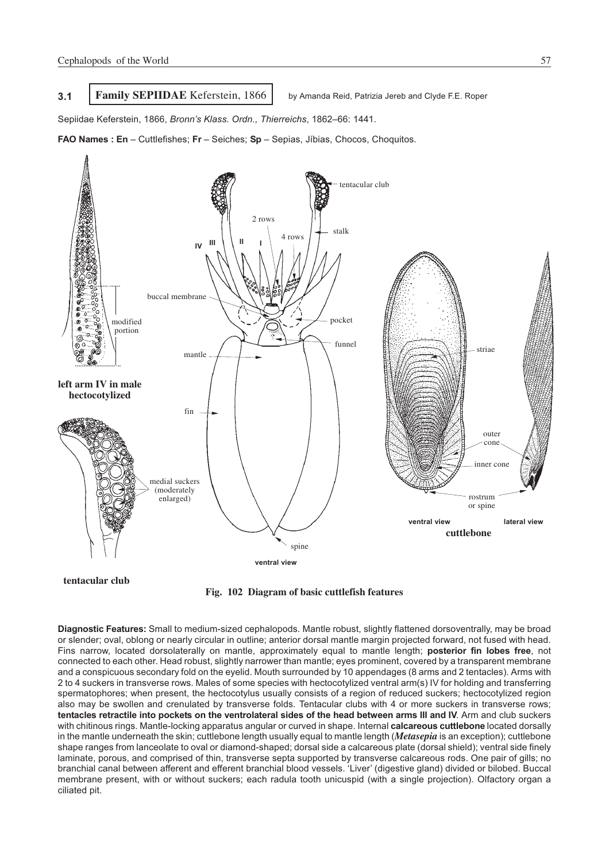## **3.1 Family SEPIIDAE** Keferstein, 1866 by Amanda Reid, Patrizia Jereb and Clyde F.E. Roper

Sepiidae Keferstein, 1866, *Bronn's Klass. Ordn., Thierreichs*, 1862–66: 1441.

**FAO Names : En** – Cuttlefishes; **Fr** – Seiches; **Sp** – Sepias, Jíbias, Chocos, Choquitos.



**tentacular club**

**Fig. 102 Diagram of basic cuttlefish features**

**Diagnostic Features:** Small to medium-sized cephalopods. Mantle robust, slightly flattened dorsoventrally, may be broad or slender; oval, oblong or nearly circular in outline; anterior dorsal mantle margin projected forward, not fused with head. Fins narrow, located dorsolaterally on mantle, approximately equal to mantle length; **posterior fin lobes free**, not connected to each other. Head robust, slightly narrower than mantle; eyes prominent, covered by a transparent membrane and a conspicuous secondary fold on the eyelid. Mouth surrounded by 10 appendages (8 arms and 2 tentacles). Arms with 2 to 4 suckers in transverse rows. Males of some species with hectocotylized ventral arm(s) IV for holding and transferring spermatophores; when present, the hectocotylus usually consists of a region of reduced suckers; hectocotylized region also may be swollen and crenulated by transverse folds. Tentacular clubs with 4 or more suckers in transverse rows; **tentacles retractile into pockets on the ventrolateral sides of the head between arms III and IV**. Arm and club suckers with chitinous rings. Mantle-locking apparatus angular or curved in shape. Internal **calcareous cuttlebone** located dorsally in the mantle underneath the skin; cuttlebone length usually equal to mantle length (*Metasepia* is an exception); cuttlebone shape ranges from lanceolate to oval or diamond-shaped; dorsal side a calcareous plate (dorsal shield); ventral side finely laminate, porous, and comprised of thin, transverse septa supported by transverse calcareous rods. One pair of gills; no branchial canal between afferent and efferent branchial blood vessels. 'Liver' (digestive gland) divided or bilobed. Buccal membrane present, with or without suckers; each radula tooth unicuspid (with a single projection). Olfactory organ a ciliated pit.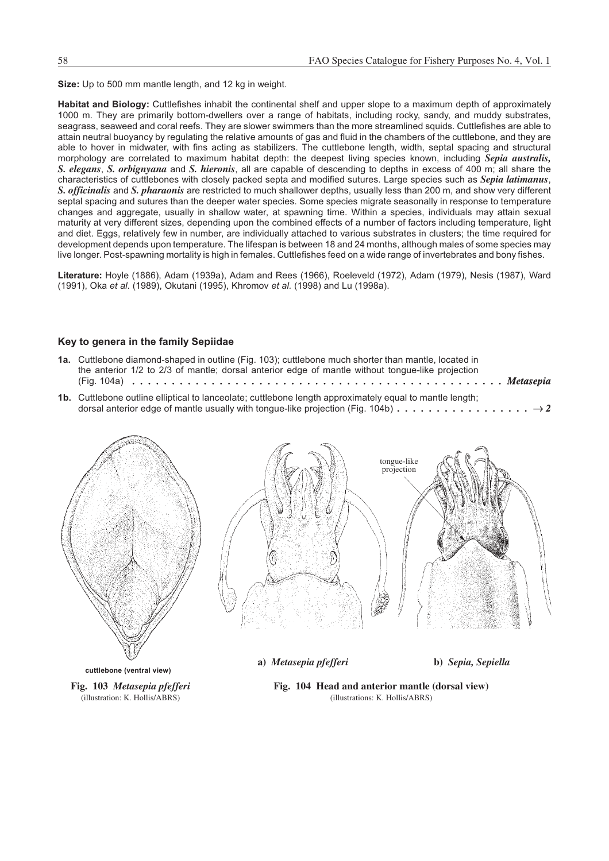**Size:** Up to 500 mm mantle length, and 12 kg in weight.

**Habitat and Biology:** Cuttlefishes inhabit the continental shelf and upper slope to a maximum depth of approximately 1000 m. They are primarily bottom-dwellers over a range of habitats, including rocky, sandy, and muddy substrates, seagrass, seaweed and coral reefs. They are slower swimmers than the more streamlined squids. Cuttlefishes are able to attain neutral buoyancy by regulating the relative amounts of gas and fluid in the chambers of the cuttlebone, and they are able to hover in midwater, with fins acting as stabilizers. The cuttlebone length, width, septal spacing and structural morphology are correlated to maximum habitat depth: the deepest living species known, including *Sepia australis, S. elegans*, *S. orbignyana* and *S. hieronis*, all are capable of descending to depths in excess of 400 m; all share the characteristics of cuttlebones with closely packed septa and modified sutures. Large species such as *Sepia latimanus*, *S. officinalis* and *S. pharaonis* are restricted to much shallower depths, usually less than 200 m, and show very different septal spacing and sutures than the deeper water species. Some species migrate seasonally in response to temperature changes and aggregate, usually in shallow water, at spawning time. Within a species, individuals may attain sexual maturity at very different sizes, depending upon the combined effects of a number of factors including temperature, light and diet. Eggs, relatively few in number, are individually attached to various substrates in clusters; the time required for development depends upon temperature. The lifespan is between 18 and 24 months, although males of some species may live longer. Post-spawning mortality is high in females. Cuttlefishes feed on a wide range of invertebrates and bony fishes.

**Literature:** Hoyle (1886), Adam (1939a), Adam and Rees (1966), Roeleveld (1972), Adam (1979), Nesis (1987), Ward (1991), Oka *et al*. (1989), Okutani (1995), Khromov *et al.* (1998) and Lu (1998a).

## **Key to genera in the family Sepiidae**

- **1a.** Cuttlebone diamond-shaped in outline (Fig. 103); cuttlebone much shorter than mantle, located in the anterior 1/2 to 2/3 of mantle; dorsal anterior edge of mantle without tongue-like projection (Fig. 104a) *. . . . . . . . . . . . . . . . . . . . . . . . . . . . . . . . . . . . . . . . . . . . . . . Metasepia*
- **1b.** Cuttlebone outline elliptical to lanceolate; cuttlebone length approximately equal to mantle length; dorsal anterior edge of mantle usually with tongue-like projection (Fig. 104b) *................. 2*



**cuttlebone (ventral view)**

**Fig. 103** *Metasepia pfefferi* (illustration: K. Hollis/ABRS)

**a)** *Metasepia pfefferi* **b)** *Sepia, Sepiella*

**Fig. 104 Head and anterior mantle (dorsal view)** (illustrations: K. Hollis/ABRS)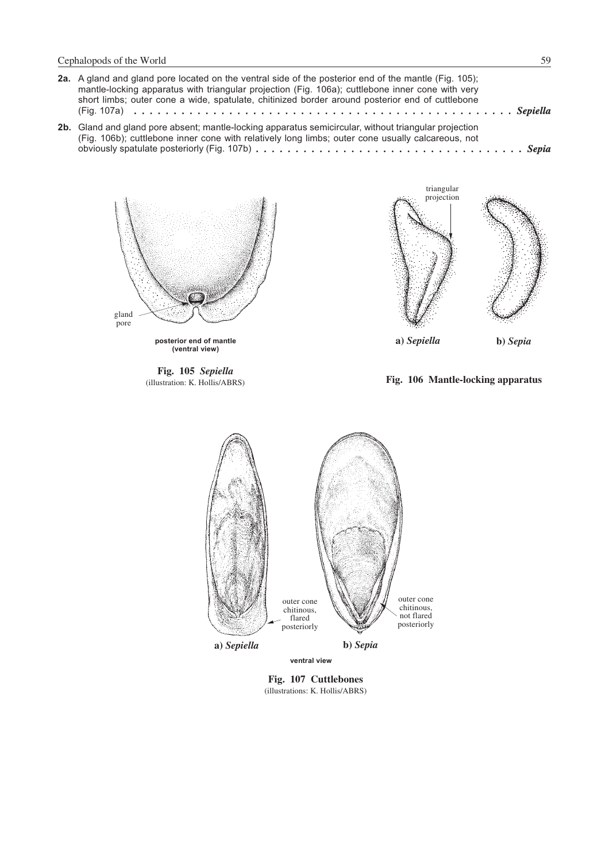| 2a. A gland and gland pore located on the ventral side of the posterior end of the mantle (Fig. 105);<br>mantle-locking apparatus with triangular projection (Fig. 106a); cuttlebone inner cone with very<br>short limbs; outer cone a wide, spatulate, chitinized border around posterior end of cuttlebone                                |
|---------------------------------------------------------------------------------------------------------------------------------------------------------------------------------------------------------------------------------------------------------------------------------------------------------------------------------------------|
| 2b. Gland and gland pore absent; mantle-locking apparatus semicircular, without triangular projection<br>(Fig. 106b); cuttlebone inner cone with relatively long limbs; outer cone usually calcareous, not<br>obviously spatulate posteriorly (Fig. 107b) $\dots \dots \dots \dots \dots \dots \dots \dots \dots \dots \dots \dots \dots$ . |



**Fig. 105** *Sepiella* (illustration: K. Hollis/ABRS)

**Fig. 106 Mantle-locking apparatus**



**Fig. 107 Cuttlebones** (illustrations: K. Hollis/ABRS)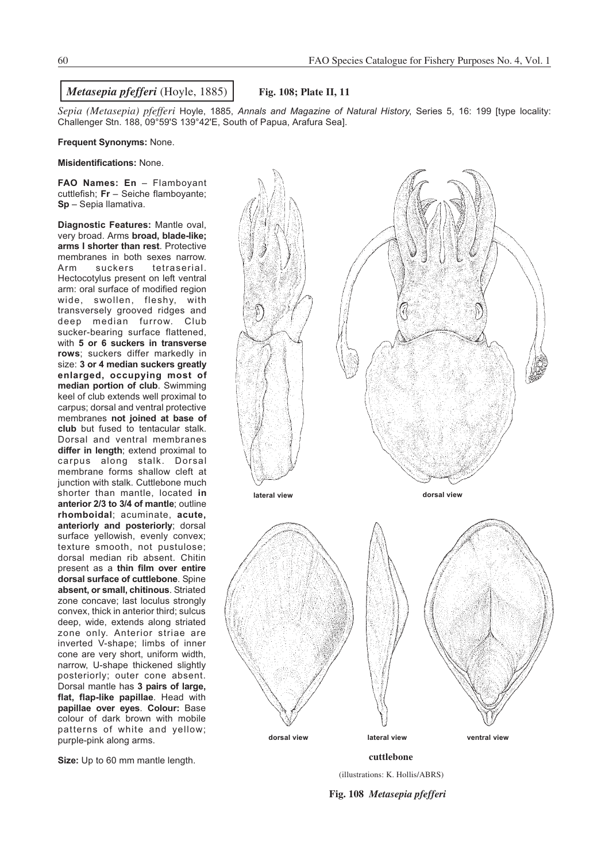*Sepia (Metasepia) pfefferi* Hoyle, 1885, *Annals and Magazine of Natural History*, Series 5, 16: 199 [type locality: Challenger Stn. 188, 09°59'S 139°42'E, South of Papua, Arafura Sea].

#### **Frequent Synonyms:** None.

**Misidentifications:** None.

**FAO Names: En** – Flamboyant cuttlefish; **Fr** – Seiche flamboyante; **Sp** – Sepia llamativa.

**Diagnostic Features:** Mantle oval, very broad. Arms **broad, blade-like; arms I shorter than rest**. Protective membranes in both sexes narrow.<br>Arm suckers tetraserial. Arm suckers tetraserial. Hectocotylus present on left ventral arm: oral surface of modified region wide, swollen, fleshy, with transversely grooved ridges and deep median furrow. Club sucker-bearing surface flattened, with **5 or 6 suckers in transverse rows**; suckers differ markedly in size: **3 or 4 median suckers greatly enlarged, occupying most of median portion of club**. Swimming keel of club extends well proximal to carpus; dorsal and ventral protective membranes **not joined at base of club** but fused to tentacular stalk. Dorsal and ventral membranes **differ in length**; extend proximal to carpus along stalk. Dorsal membrane forms shallow cleft at junction with stalk. Cuttlebone much shorter than mantle, located **in anterior 2/3 to 3/4 of mantle**; outline **rhomboidal**; acuminate, **acute, anteriorly and posteriorly**; dorsal surface yellowish, evenly convex; texture smooth, not pustulose; dorsal median rib absent. Chitin present as a **thin film over entire dorsal surface of cuttlebone**. Spine **absent, or small, chitinous**. Striated zone concave; last loculus strongly convex, thick in anterior third; sulcus deep, wide, extends along striated zone only. Anterior striae are inverted V-shape; limbs of inner cone are very short, uniform width, narrow, U-shape thickened slightly posteriorly; outer cone absent. Dorsal mantle has **3 pairs of large, flat, flap-like papillae**. Head with **papillae over eyes**. **Colour:** Base colour of dark brown with mobile patterns of white and yellow; purple-pink along arms.

**Size:** Up to 60 mm mantle length.



(illustrations: K. Hollis/ABRS)

**Fig. 108** *Metasepia pfefferi*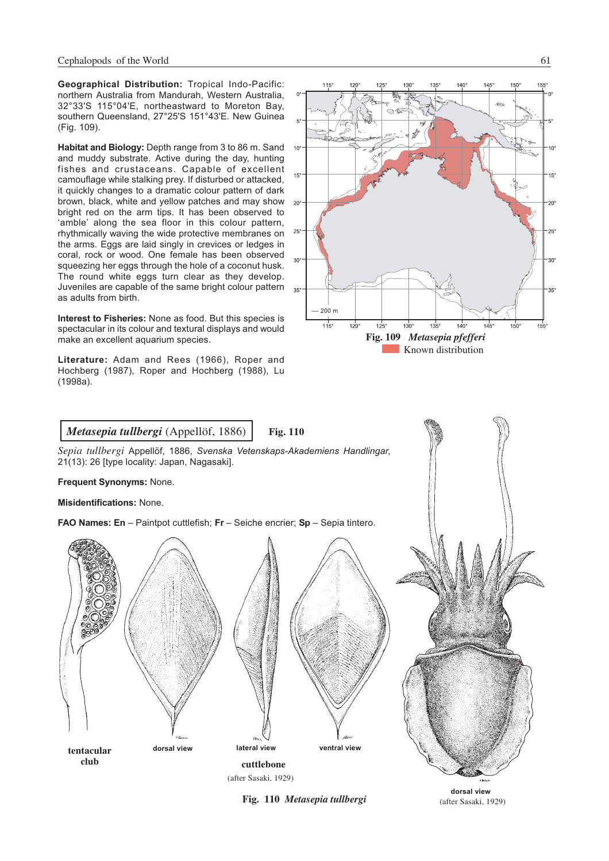**Geographical Distribution:** Tropical Indo-Pacific: northern Australia from Mandurah, Western Australia, 32°33'S 115°04'E, northeastward to Moreton Bay, southern Queensland, 27°25'S 151°43'E. New Guinea (Fig. 109).

**Habitat and Biology:** Depth range from 3 to 86 m. Sand and muddy substrate. Active during the day, hunting fishes and crustaceans. Capable of excellent camouflage while stalking prey. If disturbed or attacked, it quickly changes to a dramatic colour pattern of dark brown, black, white and yellow patches and may show bright red on the arm tips. It has been observed to 'amble' along the sea floor in this colour pattern, rhythmically waving the wide protective membranes on the arms. Eggs are laid singly in crevices or ledges in coral, rock or wood. One female has been observed squeezing her eggs through the hole of a coconut husk. The round white eggs turn clear as they develop. Juveniles are capable of the same bright colour pattern as adults from birth.

**Interest to Fisheries:** None as food. But this species is spectacular in its colour and textural displays and would make an excellent aquarium species.

**Literature:** Adam and Rees (1966), Roper and Hochberg (1987), Roper and Hochberg (1988), Lu (1998a).